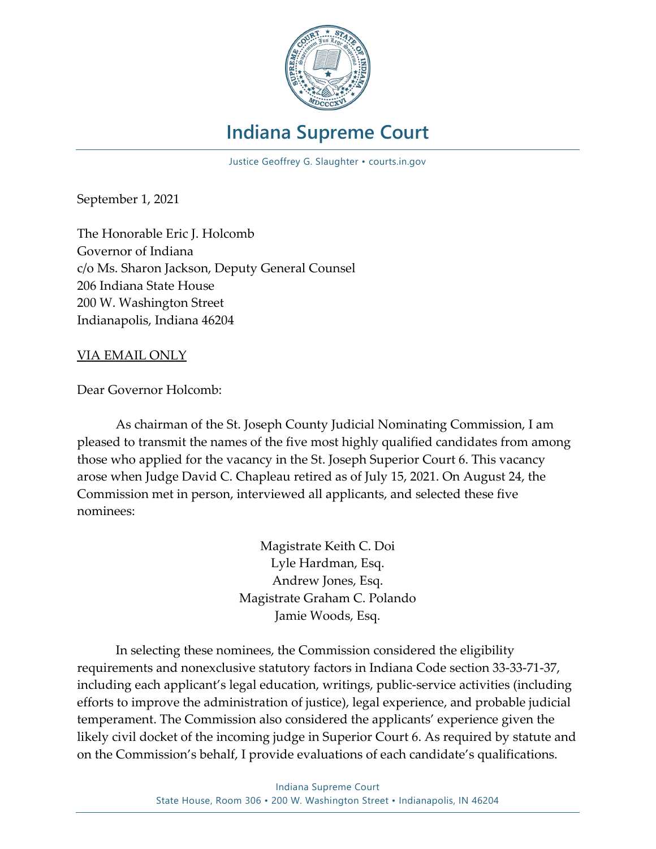

# **Indiana Supreme Court**

Justice Geoffrey G. Slaughter • courts.in.gov

September 1, 2021

The Honorable Eric J. Holcomb Governor of Indiana c/o Ms. Sharon Jackson, Deputy General Counsel 206 Indiana State House 200 W. Washington Street Indianapolis, Indiana 46204

#### VIA EMAIL ONLY

Dear Governor Holcomb:

As chairman of the St. Joseph County Judicial Nominating Commission, I am pleased to transmit the names of the five most highly qualified candidates from among those who applied for the vacancy in the St. Joseph Superior Court 6. This vacancy arose when Judge David C. Chapleau retired as of July 15, 2021. On August 24, the Commission met in person, interviewed all applicants, and selected these five nominees:

> Magistrate Keith C. Doi Lyle Hardman, Esq. Andrew Jones, Esq. Magistrate Graham C. Polando Jamie Woods, Esq.

In selecting these nominees, the Commission considered the eligibility requirements and nonexclusive statutory factors in Indiana Code section 33-33-71-37, including each applicant's legal education, writings, public-service activities (including efforts to improve the administration of justice), legal experience, and probable judicial temperament. The Commission also considered the applicants' experience given the likely civil docket of the incoming judge in Superior Court 6. As required by statute and on the Commission's behalf, I provide evaluations of each candidate's qualifications.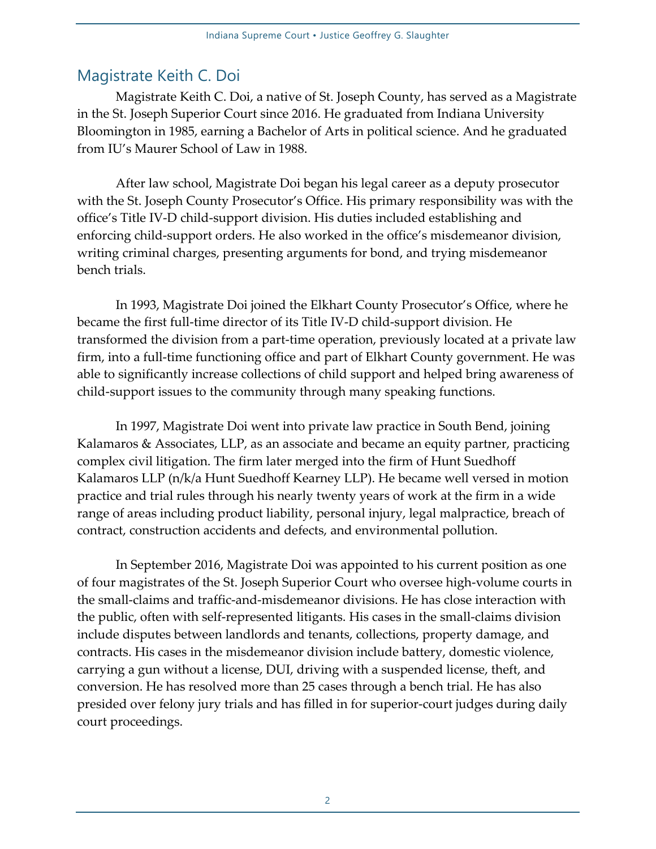## Magistrate Keith C. Doi

Magistrate Keith C. Doi, a native of St. Joseph County, has served as a Magistrate in the St. Joseph Superior Court since 2016. He graduated from Indiana University Bloomington in 1985, earning a Bachelor of Arts in political science. And he graduated from IU's Maurer School of Law in 1988.

After law school, Magistrate Doi began his legal career as a deputy prosecutor with the St. Joseph County Prosecutor's Office. His primary responsibility was with the office's Title IV-D child-support division. His duties included establishing and enforcing child-support orders. He also worked in the office's misdemeanor division, writing criminal charges, presenting arguments for bond, and trying misdemeanor bench trials.

In 1993, Magistrate Doi joined the Elkhart County Prosecutor's Office, where he became the first full-time director of its Title IV-D child-support division. He transformed the division from a part-time operation, previously located at a private law firm, into a full-time functioning office and part of Elkhart County government. He was able to significantly increase collections of child support and helped bring awareness of child-support issues to the community through many speaking functions.

In 1997, Magistrate Doi went into private law practice in South Bend, joining Kalamaros & Associates, LLP, as an associate and became an equity partner, practicing complex civil litigation. The firm later merged into the firm of Hunt Suedhoff Kalamaros LLP (n/k/a Hunt Suedhoff Kearney LLP). He became well versed in motion practice and trial rules through his nearly twenty years of work at the firm in a wide range of areas including product liability, personal injury, legal malpractice, breach of contract, construction accidents and defects, and environmental pollution.

In September 2016, Magistrate Doi was appointed to his current position as one of four magistrates of the St. Joseph Superior Court who oversee high-volume courts in the small-claims and traffic-and-misdemeanor divisions. He has close interaction with the public, often with self-represented litigants. His cases in the small-claims division include disputes between landlords and tenants, collections, property damage, and contracts. His cases in the misdemeanor division include battery, domestic violence, carrying a gun without a license, DUI, driving with a suspended license, theft, and conversion. He has resolved more than 25 cases through a bench trial. He has also presided over felony jury trials and has filled in for superior-court judges during daily court proceedings.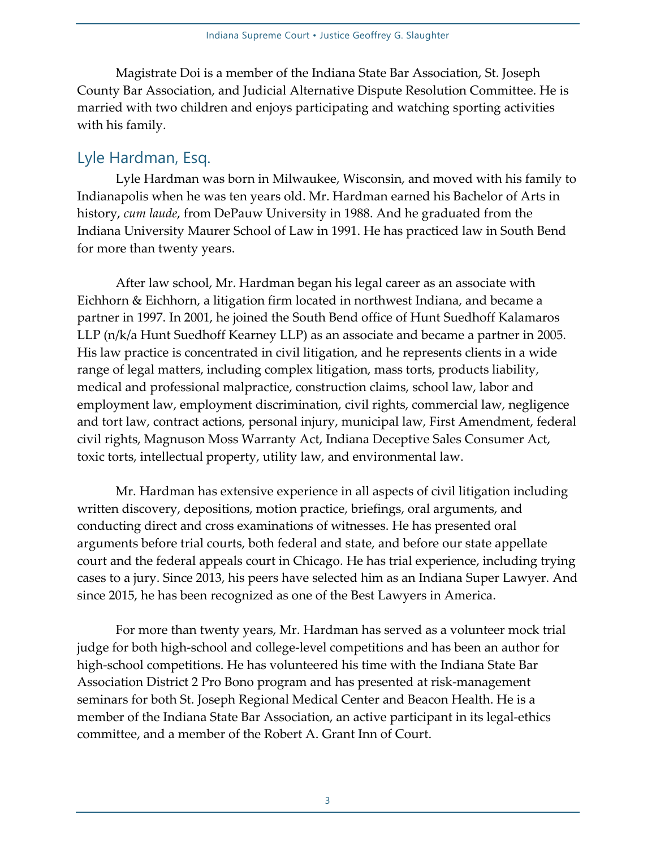Magistrate Doi is a member of the Indiana State Bar Association, St. Joseph County Bar Association, and Judicial Alternative Dispute Resolution Committee. He is married with two children and enjoys participating and watching sporting activities with his family.

### Lyle Hardman, Esq.

Lyle Hardman was born in Milwaukee, Wisconsin, and moved with his family to Indianapolis when he was ten years old. Mr. Hardman earned his Bachelor of Arts in history, *cum laude*, from DePauw University in 1988. And he graduated from the Indiana University Maurer School of Law in 1991. He has practiced law in South Bend for more than twenty years.

After law school, Mr. Hardman began his legal career as an associate with Eichhorn & Eichhorn, a litigation firm located in northwest Indiana, and became a partner in 1997. In 2001, he joined the South Bend office of Hunt Suedhoff Kalamaros LLP (n/k/a Hunt Suedhoff Kearney LLP) as an associate and became a partner in 2005. His law practice is concentrated in civil litigation, and he represents clients in a wide range of legal matters, including complex litigation, mass torts, products liability, medical and professional malpractice, construction claims, school law, labor and employment law, employment discrimination, civil rights, commercial law, negligence and tort law, contract actions, personal injury, municipal law, First Amendment, federal civil rights, Magnuson Moss Warranty Act, Indiana Deceptive Sales Consumer Act, toxic torts, intellectual property, utility law, and environmental law.

Mr. Hardman has extensive experience in all aspects of civil litigation including written discovery, depositions, motion practice, briefings, oral arguments, and conducting direct and cross examinations of witnesses. He has presented oral arguments before trial courts, both federal and state, and before our state appellate court and the federal appeals court in Chicago. He has trial experience, including trying cases to a jury. Since 2013, his peers have selected him as an Indiana Super Lawyer. And since 2015, he has been recognized as one of the Best Lawyers in America.

For more than twenty years, Mr. Hardman has served as a volunteer mock trial judge for both high-school and college-level competitions and has been an author for high-school competitions. He has volunteered his time with the Indiana State Bar Association District 2 Pro Bono program and has presented at risk-management seminars for both St. Joseph Regional Medical Center and Beacon Health. He is a member of the Indiana State Bar Association, an active participant in its legal-ethics committee, and a member of the Robert A. Grant Inn of Court.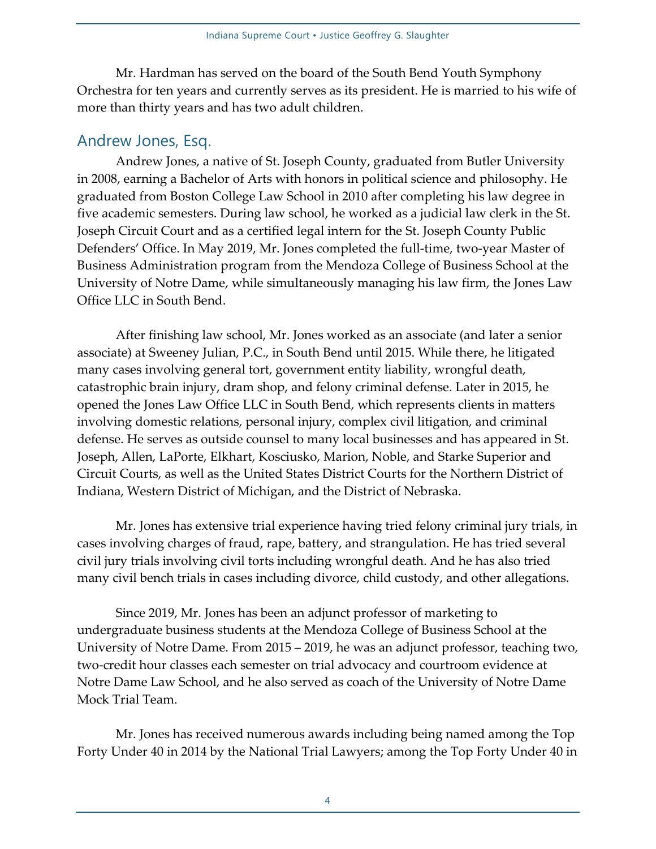Mr. Hardman has served on the board of the South Bend Youth Symphony Orchestra for ten years and currently serves as its president. He is married to his wife of more than thirty years and has two adult children.

#### Andrew Jones, Esq.

Andrew Jones, a native of St. Joseph County, graduated from Butler University in 2008, earning a Bachelor of Arts with honors in political science and philosophy. He graduated from Boston College Law School in 2010 after completing his law degree in five academic semesters. During law school, he worked as a judicial law clerk in the St. Joseph Circuit Court and as a certified legal intern for the St. Joseph County Public Defenders' Office. In May 2019, Mr. Jones completed the full-time, two-year Master of Business Administration program from the Mendoza College of Business School at the University of Notre Dame, while simultaneously managing his law firm, the Jones Law Office LLC in South Bend.

After finishing law school, Mr. Jones worked as an associate (and later a senior associate) at Sweeney Julian, P.C., in South Bend until 2015. While there, he litigated many cases involving general tort, government entity liability, wrongful death, catastrophic brain injury, dram shop, and felony criminal defense. Later in 2015, he opened the Jones Law Office LLC in South Bend, which represents clients in matters involving domestic relations, personal injury, complex civil litigation, and criminal defense. He serves as outside counsel to many local businesses and has appeared in St. Joseph, Allen, LaPorte, Elkhart, Kosciusko, Marion, Noble, and Starke Superior and Circuit Courts, as well as the United States District Courts for the Northern District of Indiana, Western District of Michigan, and the District of Nebraska.

Mr. Jones has extensive trial experience having tried felony criminal jury trials, in cases involving charges of fraud, rape, battery, and strangulation. He has tried several civil jury trials involving civil torts including wrongful death. And he has also tried many civil bench trials in cases including divorce, child custody, and other allegations.

Since 2019, Mr. Jones has been an adjunct professor of marketing to undergraduate business students at the Mendoza College of Business School at the University of Notre Dame. From 2015 – 2019, he was an adjunct professor, teaching two, two-credit hour classes each semester on trial advocacy and courtroom evidence at Notre Dame Law School, and he also served as coach of the University of Notre Dame Mock Trial Team.

Mr. Jones has received numerous awards including being named among the Top Forty Under 40 in 2014 by the National Trial Lawyers; among the Top Forty Under 40 in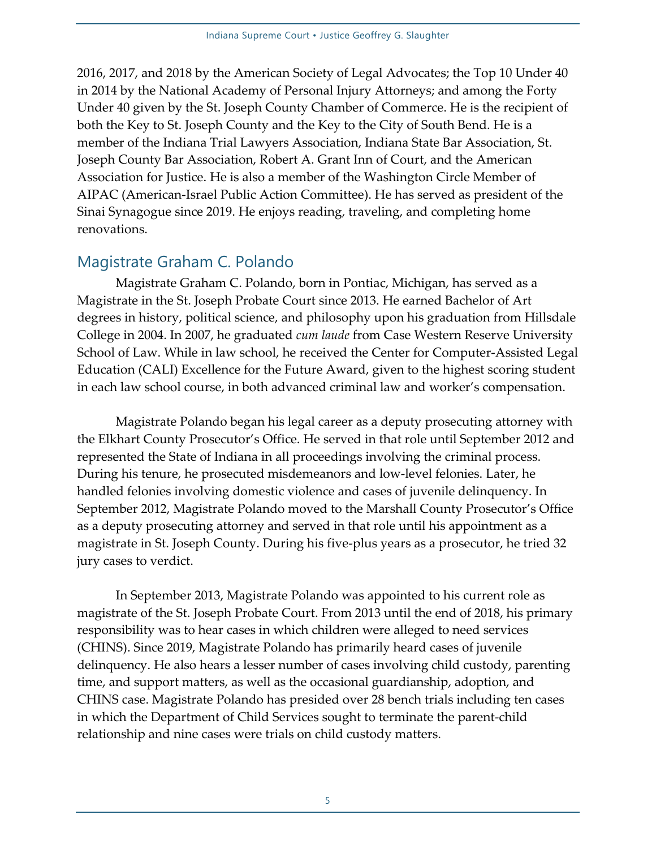2016, 2017, and 2018 by the American Society of Legal Advocates; the Top 10 Under 40 in 2014 by the National Academy of Personal Injury Attorneys; and among the Forty Under 40 given by the St. Joseph County Chamber of Commerce. He is the recipient of both the Key to St. Joseph County and the Key to the City of South Bend. He is a member of the Indiana Trial Lawyers Association, Indiana State Bar Association, St. Joseph County Bar Association, Robert A. Grant Inn of Court, and the American Association for Justice. He is also a member of the Washington Circle Member of AIPAC (American-Israel Public Action Committee). He has served as president of the Sinai Synagogue since 2019. He enjoys reading, traveling, and completing home renovations.

### Magistrate Graham C. Polando

Magistrate Graham C. Polando, born in Pontiac, Michigan, has served as a Magistrate in the St. Joseph Probate Court since 2013. He earned Bachelor of Art degrees in history, political science, and philosophy upon his graduation from Hillsdale College in 2004. In 2007, he graduated *cum laude* from Case Western Reserve University School of Law. While in law school, he received the Center for Computer-Assisted Legal Education (CALI) Excellence for the Future Award, given to the highest scoring student in each law school course, in both advanced criminal law and worker's compensation.

Magistrate Polando began his legal career as a deputy prosecuting attorney with the Elkhart County Prosecutor's Office. He served in that role until September 2012 and represented the State of Indiana in all proceedings involving the criminal process. During his tenure, he prosecuted misdemeanors and low-level felonies. Later, he handled felonies involving domestic violence and cases of juvenile delinquency. In September 2012, Magistrate Polando moved to the Marshall County Prosecutor's Office as a deputy prosecuting attorney and served in that role until his appointment as a magistrate in St. Joseph County. During his five-plus years as a prosecutor, he tried 32 jury cases to verdict.

In September 2013, Magistrate Polando was appointed to his current role as magistrate of the St. Joseph Probate Court. From 2013 until the end of 2018, his primary responsibility was to hear cases in which children were alleged to need services (CHINS). Since 2019, Magistrate Polando has primarily heard cases of juvenile delinquency. He also hears a lesser number of cases involving child custody, parenting time, and support matters, as well as the occasional guardianship, adoption, and CHINS case. Magistrate Polando has presided over 28 bench trials including ten cases in which the Department of Child Services sought to terminate the parent-child relationship and nine cases were trials on child custody matters.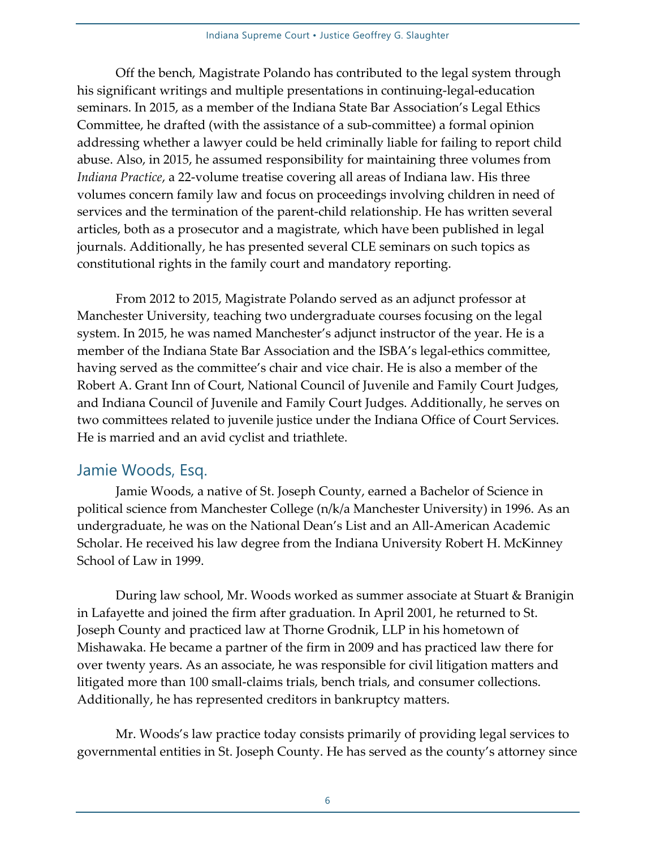Off the bench, Magistrate Polando has contributed to the legal system through his significant writings and multiple presentations in continuing-legal-education seminars. In 2015, as a member of the Indiana State Bar Association's Legal Ethics Committee, he drafted (with the assistance of a sub-committee) a formal opinion addressing whether a lawyer could be held criminally liable for failing to report child abuse. Also, in 2015, he assumed responsibility for maintaining three volumes from *Indiana Practice*, a 22-volume treatise covering all areas of Indiana law. His three volumes concern family law and focus on proceedings involving children in need of services and the termination of the parent-child relationship. He has written several articles, both as a prosecutor and a magistrate, which have been published in legal journals. Additionally, he has presented several CLE seminars on such topics as constitutional rights in the family court and mandatory reporting.

From 2012 to 2015, Magistrate Polando served as an adjunct professor at Manchester University, teaching two undergraduate courses focusing on the legal system. In 2015, he was named Manchester's adjunct instructor of the year. He is a member of the Indiana State Bar Association and the ISBA's legal-ethics committee, having served as the committee's chair and vice chair. He is also a member of the Robert A. Grant Inn of Court, National Council of Juvenile and Family Court Judges, and Indiana Council of Juvenile and Family Court Judges. Additionally, he serves on two committees related to juvenile justice under the Indiana Office of Court Services. He is married and an avid cyclist and triathlete.

#### Jamie Woods, Esq.

Jamie Woods, a native of St. Joseph County, earned a Bachelor of Science in political science from Manchester College (n/k/a Manchester University) in 1996. As an undergraduate, he was on the National Dean's List and an All-American Academic Scholar. He received his law degree from the Indiana University Robert H. McKinney School of Law in 1999.

During law school, Mr. Woods worked as summer associate at Stuart & Branigin in Lafayette and joined the firm after graduation. In April 2001, he returned to St. Joseph County and practiced law at Thorne Grodnik, LLP in his hometown of Mishawaka. He became a partner of the firm in 2009 and has practiced law there for over twenty years. As an associate, he was responsible for civil litigation matters and litigated more than 100 small-claims trials, bench trials, and consumer collections. Additionally, he has represented creditors in bankruptcy matters.

Mr. Woods's law practice today consists primarily of providing legal services to governmental entities in St. Joseph County. He has served as the county's attorney since